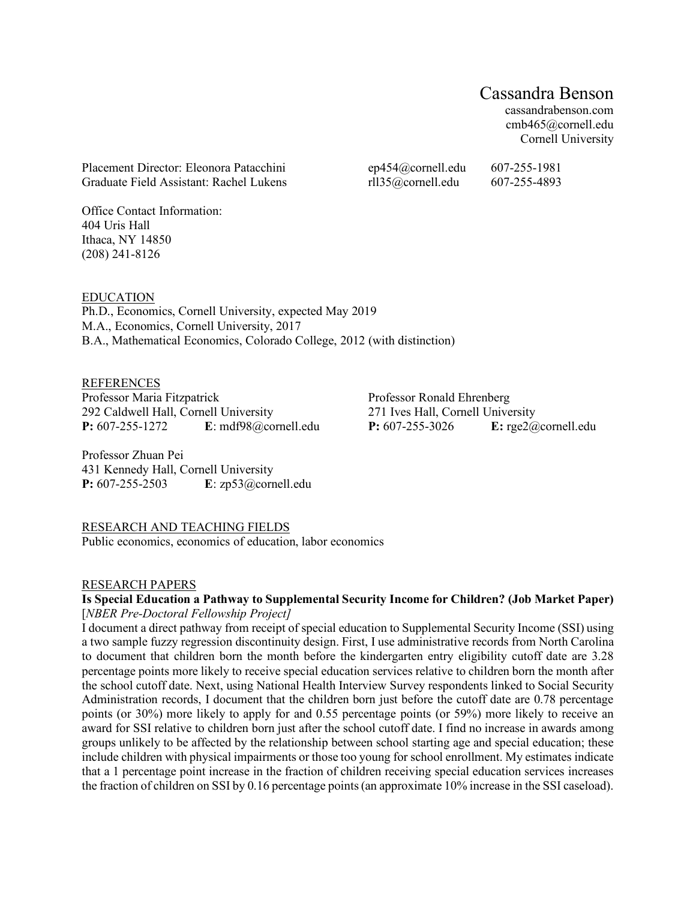# Cassandra Benson

cassandrabenson.com cmb465@cornell.edu Cornell University

Placement Director: Eleonora Patacchini ep454@cornell.edu 607-255-1981 Graduate Field Assistant: Rachel Lukens rll35@cornell.edu 607-255-4893

Office Contact Information: 404 Uris Hall Ithaca, NY 14850 (208) 241-8126

EDUCATION Ph.D., Economics, Cornell University, expected May 2019 M.A., Economics, Cornell University, 2017 B.A., Mathematical Economics, Colorado College, 2012 (with distinction)

**REFERENCES** Professor Maria Fitzpatrick 292 Caldwell Hall, Cornell University **P:** 607-255-1272 **E**: mdf98@cornell.edu

Professor Ronald Ehrenberg 271 Ives Hall, Cornell University **P:** 607-255-3026 **E:** rge2@cornell.edu

Professor Zhuan Pei 431 Kennedy Hall, Cornell University **P:** 607-255-2503 **E**: zp53@cornell.edu

# RESEARCH AND TEACHING FIELDS

Public economics, economics of education, labor economics

### RESEARCH PAPERS

# **Is Special Education a Pathway to Supplemental Security Income for Children? (Job Market Paper)**  [*NBER Pre-Doctoral Fellowship Project]*

I document a direct pathway from receipt of special education to Supplemental Security Income (SSI) using a two sample fuzzy regression discontinuity design. First, I use administrative records from North Carolina to document that children born the month before the kindergarten entry eligibility cutoff date are 3.28 percentage points more likely to receive special education services relative to children born the month after the school cutoff date. Next, using National Health Interview Survey respondents linked to Social Security Administration records, I document that the children born just before the cutoff date are 0.78 percentage points (or 30%) more likely to apply for and 0.55 percentage points (or 59%) more likely to receive an award for SSI relative to children born just after the school cutoff date. I find no increase in awards among groups unlikely to be affected by the relationship between school starting age and special education; these include children with physical impairments or those too young for school enrollment. My estimates indicate that a 1 percentage point increase in the fraction of children receiving special education services increases the fraction of children on SSI by 0.16 percentage points (an approximate 10% increase in the SSI caseload).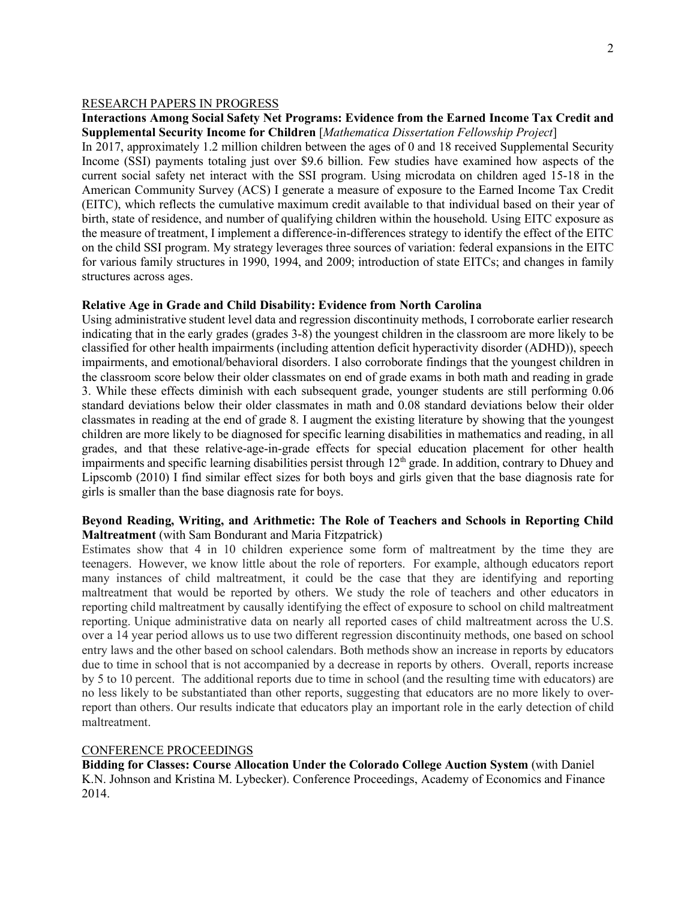#### RESEARCH PAPERS IN PROGRESS

### **Interactions Among Social Safety Net Programs: Evidence from the Earned Income Tax Credit and Supplemental Security Income for Children** [*Mathematica Dissertation Fellowship Project*]

In 2017, approximately 1.2 million children between the ages of 0 and 18 received Supplemental Security Income (SSI) payments totaling just over \$9.6 billion. Few studies have examined how aspects of the current social safety net interact with the SSI program. Using microdata on children aged 15-18 in the American Community Survey (ACS) I generate a measure of exposure to the Earned Income Tax Credit (EITC), which reflects the cumulative maximum credit available to that individual based on their year of birth, state of residence, and number of qualifying children within the household. Using EITC exposure as the measure of treatment, I implement a difference-in-differences strategy to identify the effect of the EITC on the child SSI program. My strategy leverages three sources of variation: federal expansions in the EITC for various family structures in 1990, 1994, and 2009; introduction of state EITCs; and changes in family structures across ages.

#### **Relative Age in Grade and Child Disability: Evidence from North Carolina**

Using administrative student level data and regression discontinuity methods, I corroborate earlier research indicating that in the early grades (grades 3-8) the youngest children in the classroom are more likely to be classified for other health impairments (including attention deficit hyperactivity disorder (ADHD)), speech impairments, and emotional/behavioral disorders. I also corroborate findings that the youngest children in the classroom score below their older classmates on end of grade exams in both math and reading in grade 3. While these effects diminish with each subsequent grade, younger students are still performing 0.06 standard deviations below their older classmates in math and 0.08 standard deviations below their older classmates in reading at the end of grade 8. I augment the existing literature by showing that the youngest children are more likely to be diagnosed for specific learning disabilities in mathematics and reading, in all grades, and that these relative-age-in-grade effects for special education placement for other health impairments and specific learning disabilities persist through 12<sup>th</sup> grade. In addition, contrary to Dhuey and Lipscomb (2010) I find similar effect sizes for both boys and girls given that the base diagnosis rate for girls is smaller than the base diagnosis rate for boys.

# **Beyond Reading, Writing, and Arithmetic: The Role of Teachers and Schools in Reporting Child Maltreatment** (with Sam Bondurant and Maria Fitzpatrick)

Estimates show that 4 in 10 children experience some form of maltreatment by the time they are teenagers. However, we know little about the role of reporters. For example, although educators report many instances of child maltreatment, it could be the case that they are identifying and reporting maltreatment that would be reported by others. We study the role of teachers and other educators in reporting child maltreatment by causally identifying the effect of exposure to school on child maltreatment reporting. Unique administrative data on nearly all reported cases of child maltreatment across the U.S. over a 14 year period allows us to use two different regression discontinuity methods, one based on school entry laws and the other based on school calendars. Both methods show an increase in reports by educators due to time in school that is not accompanied by a decrease in reports by others. Overall, reports increase by 5 to 10 percent. The additional reports due to time in school (and the resulting time with educators) are no less likely to be substantiated than other reports, suggesting that educators are no more likely to overreport than others. Our results indicate that educators play an important role in the early detection of child maltreatment.

#### CONFERENCE PROCEEDINGS

**Bidding for Classes: Course Allocation Under the Colorado College Auction System** (with Daniel K.N. Johnson and Kristina M. Lybecker). Conference Proceedings, Academy of Economics and Finance 2014.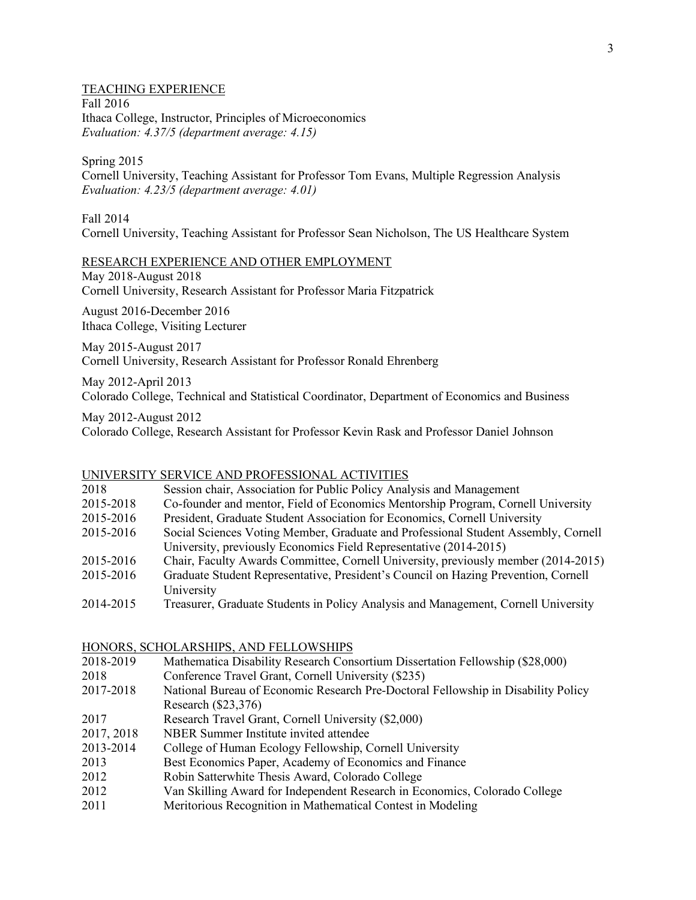# TEACHING EXPERIENCE Fall 2016 Ithaca College, Instructor, Principles of Microeconomics *Evaluation: 4.37/5 (department average: 4.15)*

Spring 2015

Cornell University, Teaching Assistant for Professor Tom Evans, Multiple Regression Analysis *Evaluation: 4.23/5 (department average: 4.01)*

Fall 2014

Cornell University, Teaching Assistant for Professor Sean Nicholson, The US Healthcare System

## RESEARCH EXPERIENCE AND OTHER EMPLOYMENT

May 2018-August 2018 Cornell University, Research Assistant for Professor Maria Fitzpatrick

August 2016-December 2016 Ithaca College, Visiting Lecturer

May 2015-August 2017 Cornell University, Research Assistant for Professor Ronald Ehrenberg

May 2012-April 2013 Colorado College, Technical and Statistical Coordinator, Department of Economics and Business

May 2012-August 2012 Colorado College, Research Assistant for Professor Kevin Rask and Professor Daniel Johnson

### UNIVERSITY SERVICE AND PROFESSIONAL ACTIVITIES

| 2018      | Session chair, Association for Public Policy Analysis and Management               |
|-----------|------------------------------------------------------------------------------------|
| 2015-2018 | Co-founder and mentor, Field of Economics Mentorship Program, Cornell University   |
| 2015-2016 | President, Graduate Student Association for Economics, Cornell University          |
| 2015-2016 | Social Sciences Voting Member, Graduate and Professional Student Assembly, Cornell |
|           | University, previously Economics Field Representative (2014-2015)                  |
| 2015-2016 | Chair, Faculty Awards Committee, Cornell University, previously member (2014-2015) |
| 2015-2016 | Graduate Student Representative, President's Council on Hazing Prevention, Cornell |
|           | University                                                                         |
|           |                                                                                    |

2014-2015 Treasurer, Graduate Students in Policy Analysis and Management, Cornell University

# HONORS, SCHOLARSHIPS, AND FELLOWSHIPS

- 2018-2019 Mathematica Disability Research Consortium Dissertation Fellowship (\$28,000)
- 2018 Conference Travel Grant, Cornell University (\$235)
- 2017-2018 National Bureau of Economic Research Pre-Doctoral Fellowship in Disability Policy Research (\$23,376)
- 2017 Research Travel Grant, Cornell University (\$2,000)
- 2017, 2018 NBER Summer Institute invited attendee
- 2013-2014 College of Human Ecology Fellowship, Cornell University
- 2013 Best Economics Paper, Academy of Economics and Finance
- 2012 Robin Satterwhite Thesis Award, Colorado College
- 2012 Van Skilling Award for Independent Research in Economics, Colorado College
- 2011 Meritorious Recognition in Mathematical Contest in Modeling